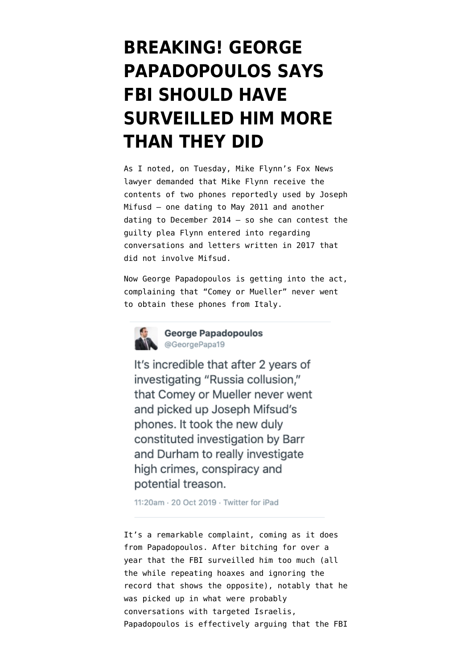## **[BREAKING! GEORGE](https://www.emptywheel.net/2019/10/20/breaking-george-papadopoulos-says-fbi-should-have-surveilled-him-more-than-they-did/) [PAPADOPOULOS SAYS](https://www.emptywheel.net/2019/10/20/breaking-george-papadopoulos-says-fbi-should-have-surveilled-him-more-than-they-did/) [FBI SHOULD HAVE](https://www.emptywheel.net/2019/10/20/breaking-george-papadopoulos-says-fbi-should-have-surveilled-him-more-than-they-did/) [SURVEILLED HIM MORE](https://www.emptywheel.net/2019/10/20/breaking-george-papadopoulos-says-fbi-should-have-surveilled-him-more-than-they-did/) [THAN THEY DID](https://www.emptywheel.net/2019/10/20/breaking-george-papadopoulos-says-fbi-should-have-surveilled-him-more-than-they-did/)**

As [I noted,](https://www.emptywheel.net/2019/10/16/the-frothy-right-gets-more-excited-about-an-eight-year-old-phone-than-contemporaneous-metadata/) on Tuesday, Mike Flynn's Fox News lawyer [demanded](https://www.courtlistener.com/recap/gov.uscourts.dcd.191592/gov.uscourts.dcd.191592.124.0_1.pdf) that Mike Flynn receive the contents of two phones reportedly used by Joseph Mifusd — one dating to May 2011 and another dating to December 2014 — so she can contest the guilty plea Flynn entered into regarding conversations and letters written in 2017 that did not involve Mifsud.

Now George Papadopoulos is getting into the act, [complaining](https://twitter.com/GeorgePapa19/status/1185938924436258816) that "Comey or Mueller" never went to obtain these phones from Italy.



**Conduction Ceorge Papadopoulos** @GeorgePapa19

It's incredible that after 2 years of investigating "Russia collusion," that Comey or Mueller never went and picked up Joseph Mifsud's phones. It took the new duly constituted investigation by Barr and Durham to really investigate high crimes, conspiracy and potential treason.

11:20am · 20 Oct 2019 · Twitter for iPad

It's a remarkable complaint, coming as it does from Papadopoulos. After bitching for over a year that the FBI surveilled him too much (all the while [repeating hoaxes](https://www.emptywheel.net/2019/10/07/bill-barr-risks-becoming-george-papadopoulos-coffee-boy/) and [ignoring the](https://www.emptywheel.net/2018/02/09/george-papadopoulos-call-records-were-not-subpoenaed-until-after-his-interviews/) [record](https://www.emptywheel.net/2018/02/09/george-papadopoulos-call-records-were-not-subpoenaed-until-after-his-interviews/) that shows the opposite), notably that he was picked up in what were probably conversations with targeted Israelis, Papadopoulos is effectively arguing that the FBI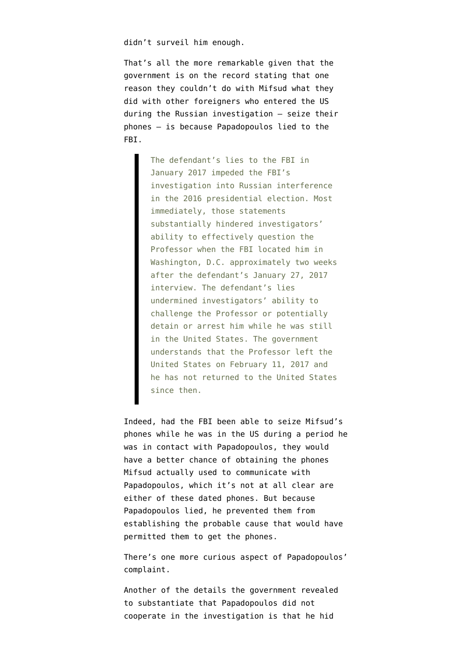didn't surveil him enough.

That's all the more remarkable given that the [government](https://www.emptywheel.net/2018/08/17/george-papadopoulos-helped-joseph-mifsud-get-away/) is on the record [stating](https://assets.documentcloud.org/documents/4776086/Sentencing-Memorandum.pdf) that one reason they couldn't do with Mifsud what they did with other foreigners who entered the US during the Russian investigation — seize their phones — is because Papadopoulos lied to the FBI.

> The defendant's lies to the FBI in January 2017 impeded the FBI's investigation into Russian interference in the 2016 presidential election. Most immediately, those statements substantially hindered investigators' ability to effectively question the Professor when the FBI located him in Washington, D.C. approximately two weeks after the defendant's January 27, 2017 interview. The defendant's lies undermined investigators' ability to challenge the Professor or potentially detain or arrest him while he was still in the United States. The government understands that the Professor left the United States on February 11, 2017 and he has not returned to the United States since then.

Indeed, had the FBI been able to seize Mifsud's phones while he was in the US during a period he was in contact with Papadopoulos, they would have a better chance of obtaining the phones Mifsud actually used to communicate with Papadopoulos, which it's not at all clear are either of these dated phones. But because Papadopoulos lied, he prevented them from establishing the probable cause that would have permitted them to get the phones.

There's one more curious aspect of Papadopoulos' complaint.

Another of the details the government revealed to substantiate that Papadopoulos did not cooperate in the investigation is that he hid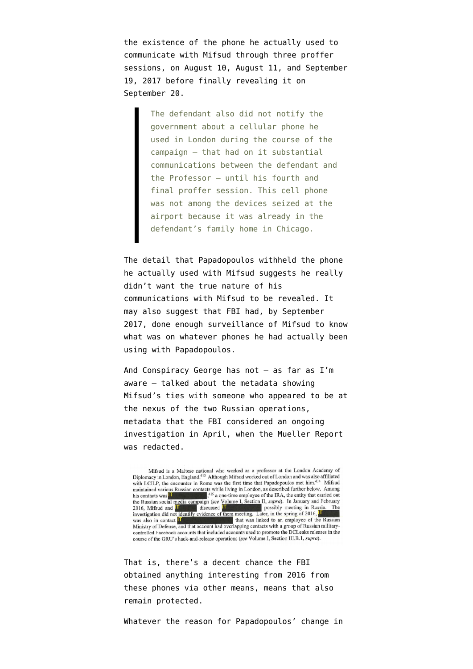the existence of the phone he actually used to communicate with Mifsud through three proffer sessions, on August 10, August 11, and September 19, 2017 before finally revealing it on September 20.

> The defendant also did not notify the government about a cellular phone he used in London during the course of the campaign – that had on it substantial communications between the defendant and the Professor – until his fourth and final proffer session. This cell phone was not among the devices seized at the airport because it was already in the defendant's family home in Chicago.

The detail that Papadopoulos withheld the phone he actually used with Mifsud suggests he really didn't want the true nature of his communications with Mifsud to be revealed. It may also suggest that FBI had, by September 2017, done enough surveillance of Mifsud to know what was on whatever phones he had actually been using with Papadopoulos.

And Conspiracy George has not — as far as I'm aware — talked about the metadata showing Mifsud's ties with someone who appeared to be at the nexus of the two Russian operations, metadata that the FBI considered an ongoing investigation in April, when the [Mueller Report](https://assets.documentcloud.org/documents/6002293/190322-Redacted-Mueller-Report.pdf) was redacted.

Mifsud is a Maltese national who worked as a professor at the London Academy of Diplomacy in London, England.<sup>413</sup> Although Mifsud worked out of London and was also affiliated Diplomacy in London, England, <sup>413</sup> Although Mitsud worked out of London and was also annual<br>with LCILP, the encounter in Rome was the first time that Papadopoulos met him.<sup>414</sup> Mifsud<br>maintained various Russian contacts his contacts was <sup>11</sup> <sup>415</sup> a one-time employee of the IRA, the entity that carried out<br>the Russian social media campaign (see Volume 1, Section II, *supra*). In January and February<br>2016, Mifsted and <sup>11</sup> discussed <sup>11</sup> p  $\blacksquare$ ,<sup>415</sup> a one-time employee of the IRA, the entity that carried out 2016, Mifsud and **IT** discussed **IT** possibly meeting in Russia.<br>
investigation did not identify evidence of them meeting. Later, in the spring of 2016, <sup>IT</sup> that was linked to an employee of the Russian was also in contact **IT** Ministry of Defense, and that account had overlapping contacts with a group of Russian militarycontrolled Facebook accounts that included accounts used to promote the DCLeaks releases in the course of the GRU's hack-and-release operations (see Volume I, Section III.B.1, supra).

That is, there's a decent chance the FBI obtained anything interesting from 2016 from these phones via other means, means that also remain protected.

Whatever the reason for Papadopoulos' change in